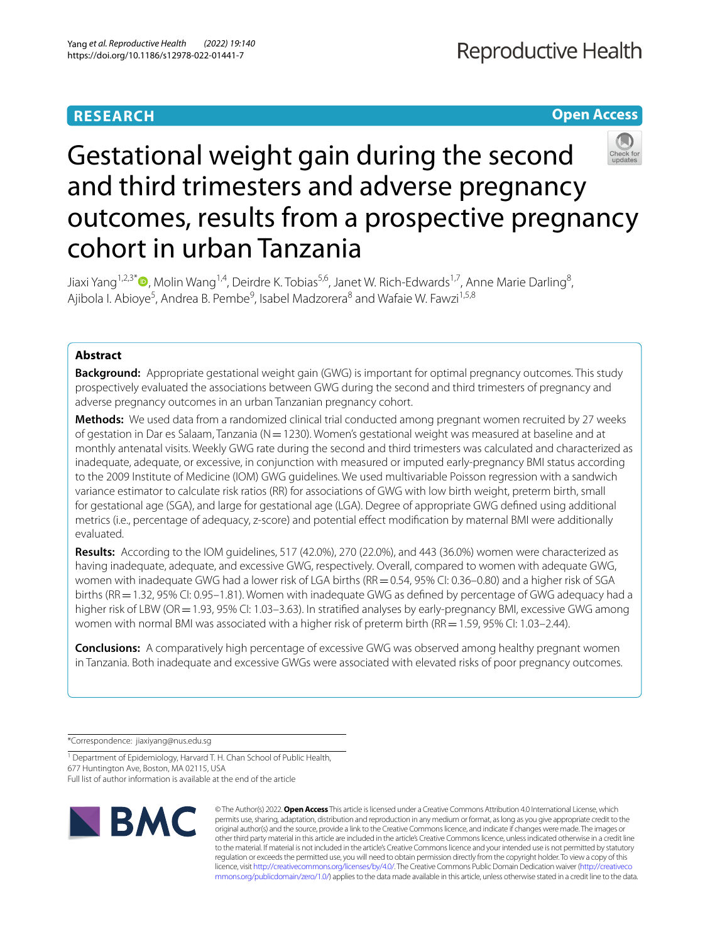# **RESEARCH**

# **Open Access**



# Gestational weight gain during the second and third trimesters and adverse pregnancy outcomes, results from a prospective pregnancy cohort in urban Tanzania

Jiaxi Yang<sup>1,2,3[\\*](http://orcid.org/0000-0002-4497-9615)</sup>®, Molin Wang<sup>1,4</sup>, Deirdre K. Tobias<sup>5,6</sup>, Janet W. Rich-Edwards<sup>1,7</sup>, Anne Marie Darling<sup>8</sup>, Ajibola I. Abioye<sup>5</sup>, Andrea B. Pembe<sup>9</sup>, Isabel Madzorera<sup>8</sup> and Wafaie W. Fawzi<sup>1,5,8</sup>

# **Abstract**

**Background:** Appropriate gestational weight gain (GWG) is important for optimal pregnancy outcomes. This study prospectively evaluated the associations between GWG during the second and third trimesters of pregnancy and adverse pregnancy outcomes in an urban Tanzanian pregnancy cohort.

**Methods:** We used data from a randomized clinical trial conducted among pregnant women recruited by 27 weeks of gestation in Dar es Salaam, Tanzania (N=1230). Women's gestational weight was measured at baseline and at monthly antenatal visits. Weekly GWG rate during the second and third trimesters was calculated and characterized as inadequate, adequate, or excessive, in conjunction with measured or imputed early-pregnancy BMI status according to the 2009 Institute of Medicine (IOM) GWG guidelines. We used multivariable Poisson regression with a sandwich variance estimator to calculate risk ratios (RR) for associations of GWG with low birth weight, preterm birth, small for gestational age (SGA), and large for gestational age (LGA). Degree of appropriate GWG defned using additional metrics (i.e., percentage of adequacy, z-score) and potential efect modifcation by maternal BMI were additionally evaluated.

**Results:** According to the IOM guidelines, 517 (42.0%), 270 (22.0%), and 443 (36.0%) women were characterized as having inadequate, adequate, and excessive GWG, respectively. Overall, compared to women with adequate GWG, women with inadequate GWG had a lower risk of LGA births (RR = 0.54, 95% CI: 0.36–0.80) and a higher risk of SGA births (RR = 1.32, 95% CI: 0.95–1.81). Women with inadequate GWG as defined by percentage of GWG adequacy had a higher risk of LBW (OR = 1.93, 95% CI: 1.03–3.63). In stratified analyses by early-pregnancy BMI, excessive GWG among women with normal BMI was associated with a higher risk of preterm birth (RR = 1.59, 95% CI: 1.03–2.44).

**Conclusions:** A comparatively high percentage of excessive GWG was observed among healthy pregnant women in Tanzania. Both inadequate and excessive GWGs were associated with elevated risks of poor pregnancy outcomes.

\*Correspondence: jiaxiyang@nus.edu.sg

<sup>1</sup> Department of Epidemiology, Harvard T. H. Chan School of Public Health, 677 Huntington Ave, Boston, MA 02115, USA

Full list of author information is available at the end of the article



© The Author(s) 2022. **Open Access** This article is licensed under a Creative Commons Attribution 4.0 International License, which permits use, sharing, adaptation, distribution and reproduction in any medium or format, as long as you give appropriate credit to the original author(s) and the source, provide a link to the Creative Commons licence, and indicate if changes were made. The images or other third party material in this article are included in the article's Creative Commons licence, unless indicated otherwise in a credit line to the material. If material is not included in the article's Creative Commons licence and your intended use is not permitted by statutory regulation or exceeds the permitted use, you will need to obtain permission directly from the copyright holder. To view a copy of this licence, visit [http://creativecommons.org/licenses/by/4.0/.](http://creativecommons.org/licenses/by/4.0/) The Creative Commons Public Domain Dedication waiver ([http://creativeco](http://creativecommons.org/publicdomain/zero/1.0/) [mmons.org/publicdomain/zero/1.0/](http://creativecommons.org/publicdomain/zero/1.0/)) applies to the data made available in this article, unless otherwise stated in a credit line to the data.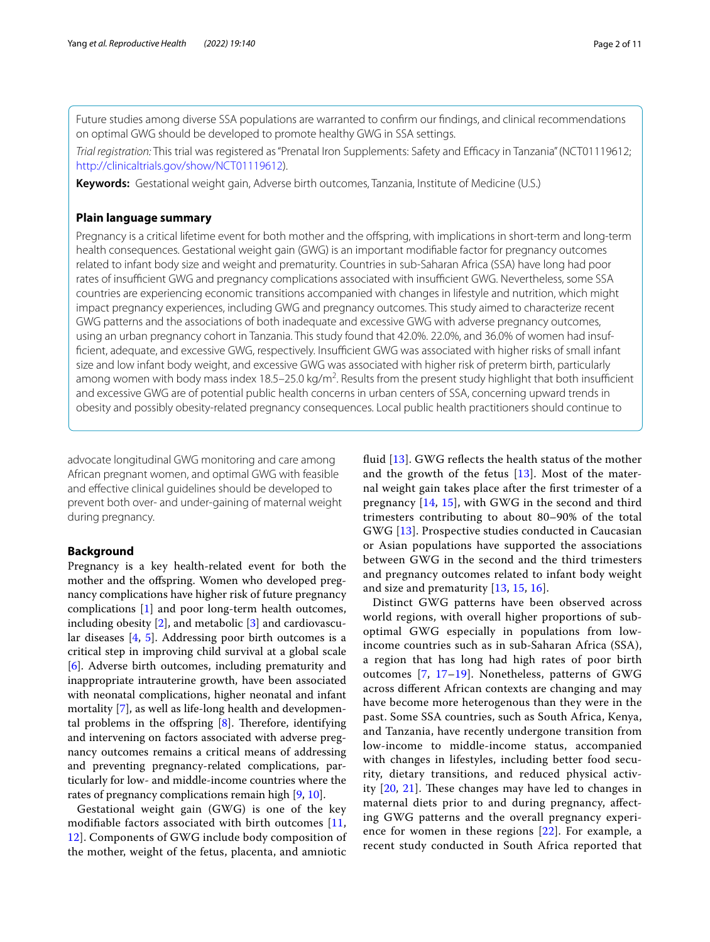Future studies among diverse SSA populations are warranted to confrm our fndings, and clinical recommendations on optimal GWG should be developed to promote healthy GWG in SSA settings.

*Trial registration:* This trial was registered as "Prenatal Iron Supplements: Safety and Efficacy in Tanzania" (NCT01119612; <http://clinicaltrials.gov/show/NCT01119612>).

**Keywords:** Gestational weight gain, Adverse birth outcomes, Tanzania, Institute of Medicine (U.S.)

## **Plain language summary**

Pregnancy is a critical lifetime event for both mother and the offspring, with implications in short-term and long-term health consequences. Gestational weight gain (GWG) is an important modifable factor for pregnancy outcomes related to infant body size and weight and prematurity. Countries in sub-Saharan Africa (SSA) have long had poor rates of insufficient GWG and pregnancy complications associated with insufficient GWG. Nevertheless, some SSA countries are experiencing economic transitions accompanied with changes in lifestyle and nutrition, which might impact pregnancy experiences, including GWG and pregnancy outcomes. This study aimed to characterize recent GWG patterns and the associations of both inadequate and excessive GWG with adverse pregnancy outcomes, using an urban pregnancy cohort in Tanzania. This study found that 42.0%. 22.0%, and 36.0% of women had insufficient, adequate, and excessive GWG, respectively. Insufficient GWG was associated with higher risks of small infant size and low infant body weight, and excessive GWG was associated with higher risk of preterm birth, particularly among women with body mass index 18.5–25.0 kg/m<sup>2</sup>. Results from the present study highlight that both insufficient and excessive GWG are of potential public health concerns in urban centers of SSA, concerning upward trends in obesity and possibly obesity-related pregnancy consequences. Local public health practitioners should continue to

advocate longitudinal GWG monitoring and care among African pregnant women, and optimal GWG with feasible and efective clinical guidelines should be developed to prevent both over- and under-gaining of maternal weight during pregnancy.

### **Background**

Pregnancy is a key health-related event for both the mother and the ofspring. Women who developed pregnancy complications have higher risk of future pregnancy complications [[1\]](#page-9-0) and poor long-term health outcomes, including obesity  $[2]$  $[2]$ , and metabolic  $[3]$  $[3]$  and cardiovascular diseases [\[4](#page-9-3), [5\]](#page-9-4). Addressing poor birth outcomes is a critical step in improving child survival at a global scale [[6\]](#page-9-5). Adverse birth outcomes, including prematurity and inappropriate intrauterine growth, have been associated with neonatal complications, higher neonatal and infant mortality [\[7](#page-9-6)], as well as life-long health and developmental problems in the offspring  $[8]$ . Therefore, identifying and intervening on factors associated with adverse pregnancy outcomes remains a critical means of addressing and preventing pregnancy-related complications, particularly for low- and middle-income countries where the rates of pregnancy complications remain high [[9,](#page-9-8) [10\]](#page-9-9).

Gestational weight gain (GWG) is one of the key modifable factors associated with birth outcomes [\[11](#page-9-10), [12\]](#page-9-11). Components of GWG include body composition of the mother, weight of the fetus, placenta, and amniotic fluid  $[13]$  $[13]$ . GWG reflects the health status of the mother and the growth of the fetus [\[13\]](#page-9-12). Most of the maternal weight gain takes place after the frst trimester of a pregnancy [[14](#page-9-13), [15\]](#page-9-14), with GWG in the second and third trimesters contributing to about 80–90% of the total GWG [[13\]](#page-9-12). Prospective studies conducted in Caucasian or Asian populations have supported the associations between GWG in the second and the third trimesters and pregnancy outcomes related to infant body weight and size and prematurity  $[13, 15, 16]$  $[13, 15, 16]$  $[13, 15, 16]$  $[13, 15, 16]$  $[13, 15, 16]$  $[13, 15, 16]$ .

Distinct GWG patterns have been observed across world regions, with overall higher proportions of suboptimal GWG especially in populations from lowincome countries such as in sub-Saharan Africa (SSA), a region that has long had high rates of poor birth outcomes [[7,](#page-9-6) [17–](#page-9-16)[19\]](#page-9-17). Nonetheless, patterns of GWG across diferent African contexts are changing and may have become more heterogenous than they were in the past. Some SSA countries, such as South Africa, Kenya, and Tanzania, have recently undergone transition from low-income to middle-income status, accompanied with changes in lifestyles, including better food security, dietary transitions, and reduced physical activity  $[20, 21]$  $[20, 21]$  $[20, 21]$  $[20, 21]$ . These changes may have led to changes in maternal diets prior to and during pregnancy, afecting GWG patterns and the overall pregnancy experience for women in these regions [[22](#page-9-20)]. For example, a recent study conducted in South Africa reported that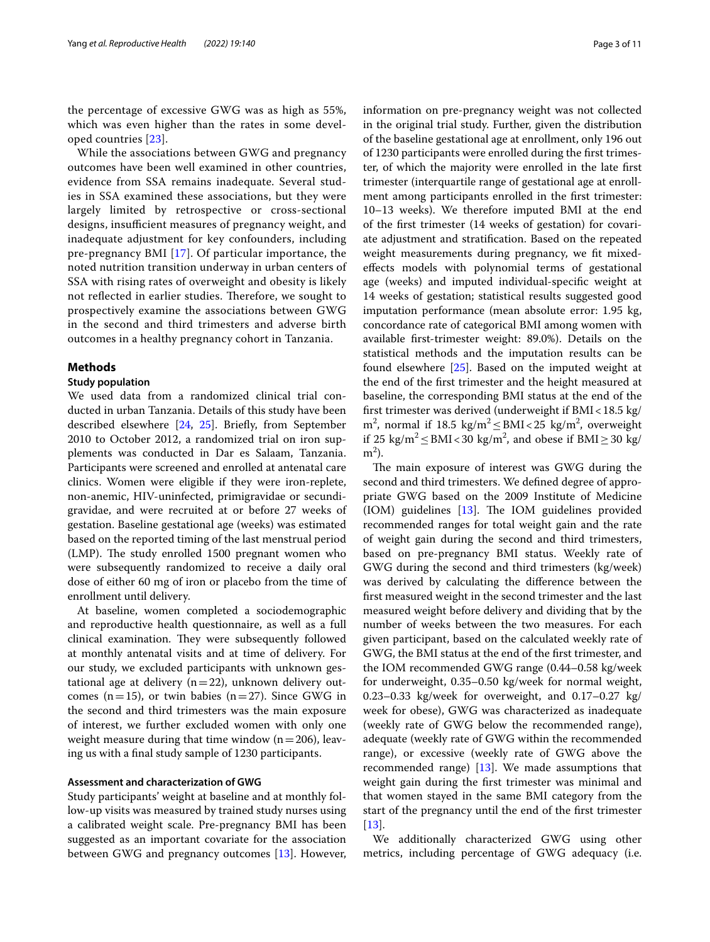the percentage of excessive GWG was as high as 55%, which was even higher than the rates in some developed countries [\[23](#page-9-21)].

While the associations between GWG and pregnancy outcomes have been well examined in other countries, evidence from SSA remains inadequate. Several studies in SSA examined these associations, but they were largely limited by retrospective or cross-sectional designs, insufficient measures of pregnancy weight, and inadequate adjustment for key confounders, including pre-pregnancy BMI [\[17](#page-9-16)]. Of particular importance, the noted nutrition transition underway in urban centers of SSA with rising rates of overweight and obesity is likely not reflected in earlier studies. Therefore, we sought to prospectively examine the associations between GWG in the second and third trimesters and adverse birth outcomes in a healthy pregnancy cohort in Tanzania.

#### **Methods**

### **Study population**

We used data from a randomized clinical trial conducted in urban Tanzania. Details of this study have been described elsewhere [\[24](#page-9-22), [25](#page-9-23)]. Briefy, from September 2010 to October 2012, a randomized trial on iron supplements was conducted in Dar es Salaam, Tanzania. Participants were screened and enrolled at antenatal care clinics. Women were eligible if they were iron-replete, non-anemic, HIV-uninfected, primigravidae or secundigravidae, and were recruited at or before 27 weeks of gestation. Baseline gestational age (weeks) was estimated based on the reported timing of the last menstrual period  $(LMP)$ . The study enrolled 1500 pregnant women who were subsequently randomized to receive a daily oral dose of either 60 mg of iron or placebo from the time of enrollment until delivery.

At baseline, women completed a sociodemographic and reproductive health questionnaire, as well as a full clinical examination. They were subsequently followed at monthly antenatal visits and at time of delivery. For our study, we excluded participants with unknown gestational age at delivery  $(n=22)$ , unknown delivery outcomes ( $n=15$ ), or twin babies ( $n=27$ ). Since GWG in the second and third trimesters was the main exposure of interest, we further excluded women with only one weight measure during that time window  $(n=206)$ , leaving us with a fnal study sample of 1230 participants.

#### **Assessment and characterization of GWG**

Study participants' weight at baseline and at monthly follow-up visits was measured by trained study nurses using a calibrated weight scale. Pre-pregnancy BMI has been suggested as an important covariate for the association between GWG and pregnancy outcomes [\[13](#page-9-12)]. However, information on pre-pregnancy weight was not collected in the original trial study. Further, given the distribution of the baseline gestational age at enrollment, only 196 out of 1230 participants were enrolled during the frst trimester, of which the majority were enrolled in the late frst trimester (interquartile range of gestational age at enrollment among participants enrolled in the frst trimester: 10–13 weeks). We therefore imputed BMI at the end of the frst trimester (14 weeks of gestation) for covariate adjustment and stratifcation. Based on the repeated weight measurements during pregnancy, we ft mixedefects models with polynomial terms of gestational age (weeks) and imputed individual-specifc weight at 14 weeks of gestation; statistical results suggested good imputation performance (mean absolute error: 1.95 kg, concordance rate of categorical BMI among women with available frst-trimester weight: 89.0%). Details on the statistical methods and the imputation results can be found elsewhere [[25\]](#page-9-23). Based on the imputed weight at the end of the frst trimester and the height measured at baseline, the corresponding BMI status at the end of the frst trimester was derived (underweight if BMI<18.5 kg/ m<sup>2</sup>, normal if 18.5 kg/m<sup>2</sup>  $\leq$  BMI < 25 kg/m<sup>2</sup>, overweight if 25 kg/m<sup>2</sup> ≤ BMI < 30 kg/m<sup>2</sup>, and obese if BMI ≥ 30 kg/  $m<sup>2</sup>$ ).

The main exposure of interest was GWG during the second and third trimesters. We defned degree of appropriate GWG based on the 2009 Institute of Medicine  $(10M)$  guidelines  $[13]$  $[13]$ . The IOM guidelines provided recommended ranges for total weight gain and the rate of weight gain during the second and third trimesters, based on pre-pregnancy BMI status. Weekly rate of GWG during the second and third trimesters (kg/week) was derived by calculating the diference between the frst measured weight in the second trimester and the last measured weight before delivery and dividing that by the number of weeks between the two measures. For each given participant, based on the calculated weekly rate of GWG, the BMI status at the end of the frst trimester, and the IOM recommended GWG range (0.44–0.58 kg/week for underweight, 0.35–0.50 kg/week for normal weight, 0.23–0.33  $kg/week$  for overweight, and 0.17–0.27  $kg/$ week for obese), GWG was characterized as inadequate (weekly rate of GWG below the recommended range), adequate (weekly rate of GWG within the recommended range), or excessive (weekly rate of GWG above the recommended range) [\[13\]](#page-9-12). We made assumptions that weight gain during the frst trimester was minimal and that women stayed in the same BMI category from the start of the pregnancy until the end of the frst trimester [[13\]](#page-9-12).

We additionally characterized GWG using other metrics, including percentage of GWG adequacy (i.e.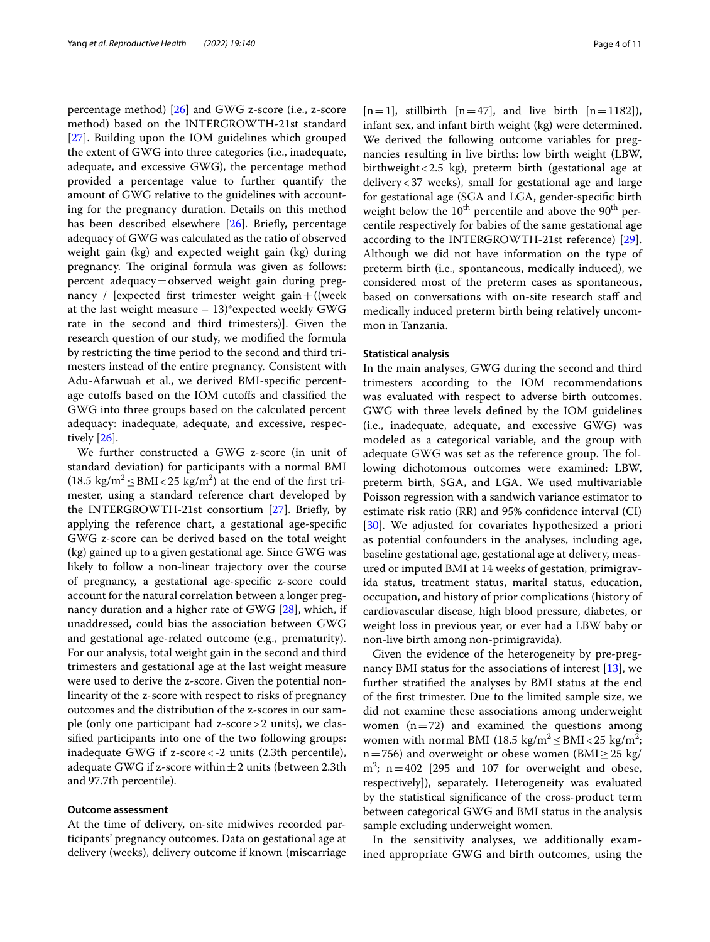percentage method) [[26\]](#page-10-0) and GWG z-score (i.e., z-score method) based on the INTERGROWTH-21st standard [[27\]](#page-10-1). Building upon the IOM guidelines which grouped the extent of GWG into three categories (i.e., inadequate, adequate, and excessive GWG), the percentage method provided a percentage value to further quantify the amount of GWG relative to the guidelines with accounting for the pregnancy duration. Details on this method has been described elsewhere [[26\]](#page-10-0). Briefly, percentage adequacy of GWG was calculated as the ratio of observed weight gain (kg) and expected weight gain (kg) during pregnancy. The original formula was given as follows: percent adequacy=observed weight gain during pregnancy / [expected first trimester weight gain + ((week at the last weight measure  $-13$ <sup>\*</sup> expected weekly GWG rate in the second and third trimesters)]. Given the research question of our study, we modifed the formula by restricting the time period to the second and third trimesters instead of the entire pregnancy. Consistent with Adu-Afarwuah et al., we derived BMI-specifc percentage cutofs based on the IOM cutofs and classifed the GWG into three groups based on the calculated percent adequacy: inadequate, adequate, and excessive, respectively [\[26\]](#page-10-0).

We further constructed a GWG z-score (in unit of standard deviation) for participants with a normal BMI  $(18.5 \text{ kg/m}^2 \leq \text{BMI} < 25 \text{ kg/m}^2)$  at the end of the first trimester, using a standard reference chart developed by the INTERGROWTH-21st consortium [[27](#page-10-1)]. Briefy, by applying the reference chart, a gestational age-specifc GWG z-score can be derived based on the total weight (kg) gained up to a given gestational age. Since GWG was likely to follow a non-linear trajectory over the course of pregnancy, a gestational age-specifc z-score could account for the natural correlation between a longer pregnancy duration and a higher rate of GWG [\[28\]](#page-10-2), which, if unaddressed, could bias the association between GWG and gestational age-related outcome (e.g., prematurity). For our analysis, total weight gain in the second and third trimesters and gestational age at the last weight measure were used to derive the z-score. Given the potential nonlinearity of the z-score with respect to risks of pregnancy outcomes and the distribution of the z-scores in our sample (only one participant had z-score>2 units), we classifed participants into one of the two following groups: inadequate GWG if z-score<-2 units (2.3th percentile), adequate GWG if z-score within  $\pm 2$  units (between 2.3th and 97.7th percentile).

#### **Outcome assessment**

At the time of delivery, on-site midwives recorded participants' pregnancy outcomes. Data on gestational age at delivery (weeks), delivery outcome if known (miscarriage

 $[n=1]$ , stillbirth  $[n=47]$ , and live birth  $[n=1182]$ ), infant sex, and infant birth weight (kg) were determined. We derived the following outcome variables for pregnancies resulting in live births: low birth weight (LBW, birthweight<2.5 kg), preterm birth (gestational age at delivery<37 weeks), small for gestational age and large for gestational age (SGA and LGA, gender-specifc birth weight below the  $10^{th}$  percentile and above the  $90^{th}$  percentile respectively for babies of the same gestational age according to the INTERGROWTH-21st reference) [\[29](#page-10-3)]. Although we did not have information on the type of preterm birth (i.e., spontaneous, medically induced), we considered most of the preterm cases as spontaneous, based on conversations with on-site research staff and medically induced preterm birth being relatively uncommon in Tanzania.

#### **Statistical analysis**

In the main analyses, GWG during the second and third trimesters according to the IOM recommendations was evaluated with respect to adverse birth outcomes. GWG with three levels defned by the IOM guidelines (i.e., inadequate, adequate, and excessive GWG) was modeled as a categorical variable, and the group with adequate GWG was set as the reference group. The following dichotomous outcomes were examined: LBW, preterm birth, SGA, and LGA. We used multivariable Poisson regression with a sandwich variance estimator to estimate risk ratio (RR) and 95% confdence interval (CI) [[30\]](#page-10-4). We adjusted for covariates hypothesized a priori as potential confounders in the analyses, including age, baseline gestational age, gestational age at delivery, measured or imputed BMI at 14 weeks of gestation, primigravida status, treatment status, marital status, education, occupation, and history of prior complications (history of cardiovascular disease, high blood pressure, diabetes, or weight loss in previous year, or ever had a LBW baby or non-live birth among non-primigravida).

Given the evidence of the heterogeneity by pre-pregnancy BMI status for the associations of interest [\[13](#page-9-12)], we further stratifed the analyses by BMI status at the end of the frst trimester. Due to the limited sample size, we did not examine these associations among underweight women  $(n=72)$  and examined the questions among women with normal BMI (18.5 kg/m<sup>2</sup> $\leq$ BMI $<$ 25 kg/m<sup>2</sup>; n=756) and overweight or obese women (BMI $\geq$ 25 kg/  $m^2$ ; n = 402 [295 and 107 for overweight and obese, respectively]), separately. Heterogeneity was evaluated by the statistical signifcance of the cross-product term between categorical GWG and BMI status in the analysis sample excluding underweight women.

In the sensitivity analyses, we additionally examined appropriate GWG and birth outcomes, using the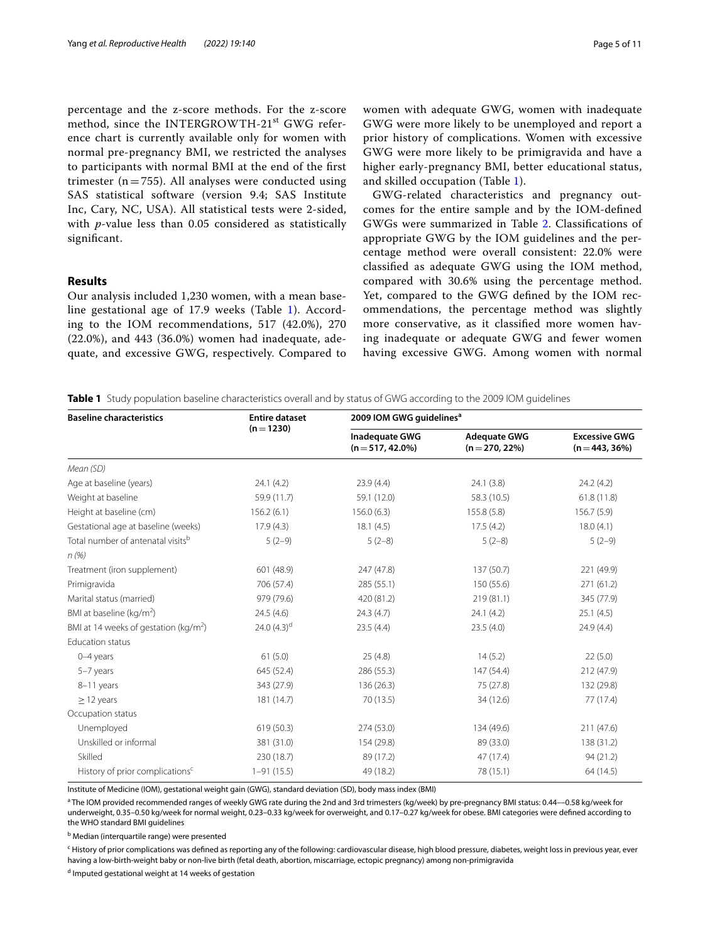percentage and the z-score methods. For the z-score method, since the INTERGROWTH-21<sup>st</sup> GWG reference chart is currently available only for women with normal pre-pregnancy BMI, we restricted the analyses to participants with normal BMI at the end of the frst trimester ( $n=755$ ). All analyses were conducted using SAS statistical software (version 9.4; SAS Institute Inc, Cary, NC, USA). All statistical tests were 2-sided, with *p*-value less than 0.05 considered as statistically signifcant.

# **Results**

Our analysis included 1,230 women, with a mean baseline gestational age of 17.9 weeks (Table [1](#page-4-0)). According to the IOM recommendations, 517 (42.0%), 270 (22.0%), and 443 (36.0%) women had inadequate, adequate, and excessive GWG, respectively. Compared to women with adequate GWG, women with inadequate GWG were more likely to be unemployed and report a prior history of complications. Women with excessive GWG were more likely to be primigravida and have a higher early-pregnancy BMI, better educational status, and skilled occupation (Table [1\)](#page-4-0).

GWG-related characteristics and pregnancy outcomes for the entire sample and by the IOM-defned GWGs were summarized in Table [2](#page-5-0). Classifcations of appropriate GWG by the IOM guidelines and the percentage method were overall consistent: 22.0% were classifed as adequate GWG using the IOM method, compared with 30.6% using the percentage method. Yet, compared to the GWG defned by the IOM recommendations, the percentage method was slightly more conservative, as it classifed more women having inadequate or adequate GWG and fewer women having excessive GWG. Among women with normal

<span id="page-4-0"></span>**Table 1** Study population baseline characteristics overall and by status of GWG according to the 2009 IOM guidelines

| <b>Baseline characteristics</b>               | <b>Entire dataset</b> | 2009 IOM GWG guidelines <sup>a</sup>       |                                        |                                         |  |
|-----------------------------------------------|-----------------------|--------------------------------------------|----------------------------------------|-----------------------------------------|--|
|                                               | $(n=1230)$            | <b>Inadequate GWG</b><br>$(n=517, 42.0\%)$ | <b>Adequate GWG</b><br>$(n=270, 22\%)$ | <b>Excessive GWG</b><br>$(n=443, 36\%)$ |  |
| Mean (SD)                                     |                       |                                            |                                        |                                         |  |
| Age at baseline (years)                       | 24.1(4.2)             | 23.9(4.4)                                  | 24.1 (3.8)                             | 24.2(4.2)                               |  |
| Weight at baseline                            | 59.9 (11.7)           | 59.1 (12.0)                                | 58.3 (10.5)                            |                                         |  |
| Height at baseline (cm)                       | 156.2(6.1)            | 156.0(6.3)                                 | 155.8 (5.8)                            | 156.7(5.9)                              |  |
| Gestational age at baseline (weeks)           | 17.9(4.3)             | 18.1(4.5)                                  | 17.5(4.2)                              | 18.0(4.1)                               |  |
| Total number of antenatal visits <sup>b</sup> | $5(2-9)$              | $5(2-8)$                                   | $5(2-8)$                               | $5(2-9)$                                |  |
| n(%)                                          |                       |                                            |                                        |                                         |  |
| Treatment (iron supplement)                   | 601 (48.9)            | 247 (47.8)                                 | 137 (50.7)                             | 221 (49.9)                              |  |
| Primigravida                                  | 706 (57.4)            | 285 (55.1)                                 | 150 (55.6)                             | 271 (61.2)                              |  |
| Marital status (married)                      | 979 (79.6)            | 420 (81.2)                                 | 219(81.1)                              | 345 (77.9)                              |  |
| BMI at baseline (kg/m <sup>2</sup> )          | 24.5(4.6)             | 24.3(4.7)                                  | 24.1(4.2)                              | 25.1(4.5)                               |  |
| BMI at 14 weeks of gestation ( $kg/m2$ )      | 24.0 $(4.3)^d$        | 23.5(4.4)                                  | 23.5(4.0)                              | 24.9(4.4)                               |  |
| <b>Education status</b>                       |                       |                                            |                                        |                                         |  |
| $0-4$ years                                   | 61(5.0)               | 25(4.8)                                    | 14(5.2)                                | 22(5.0)                                 |  |
| 5-7 years                                     | 645 (52.4)            | 286 (55.3)                                 | 147 (54.4)                             | 212 (47.9)                              |  |
| 8-11 years                                    | 343 (27.9)            | 136 (26.3)                                 | 75 (27.8)                              | 132 (29.8)                              |  |
| $\geq$ 12 years                               | 181 (14.7)            | 70 (13.5)                                  | 34 (12.6)                              | 77 (17.4)                               |  |
| Occupation status                             |                       |                                            |                                        |                                         |  |
| Unemployed                                    | 619(50.3)             | 274 (53.0)                                 | 134 (49.6)                             | 211(47.6)                               |  |
| Unskilled or informal                         | 381 (31.0)            | 154 (29.8)                                 | 89 (33.0)                              | 138 (31.2)                              |  |
| Skilled                                       | 230 (18.7)            | 89 (17.2)                                  | 47 (17.4)                              | 94 (21.2)                               |  |
| History of prior complications <sup>c</sup>   | $1 - 91(15.5)$        | 49 (18.2)                                  | 78 (15.1)                              | 64 (14.5)                               |  |

Institute of Medicine (IOM), gestational weight gain (GWG), standard deviation (SD), body mass index (BMI)

<sup>a</sup> The IOM provided recommended ranges of weekly GWG rate during the 2nd and 3rd trimesters (kg/week) by pre-pregnancy BMI status: 0.44––0.58 kg/week for underweight, 0.35–0.50 kg/week for normal weight, 0.23–0.33 kg/week for overweight, and 0.17–0.27 kg/week for obese. BMI categories were defned according to the WHO standard BMI guidelines

<sup>b</sup> Median (interquartile range) were presented

c History of prior complications was defned as reporting any of the following: cardiovascular disease, high blood pressure, diabetes, weight loss in previous year, ever having a low-birth-weight baby or non-live birth (fetal death, abortion, miscarriage, ectopic pregnancy) among non-primigravida

<sup>d</sup> Imputed gestational weight at 14 weeks of gestation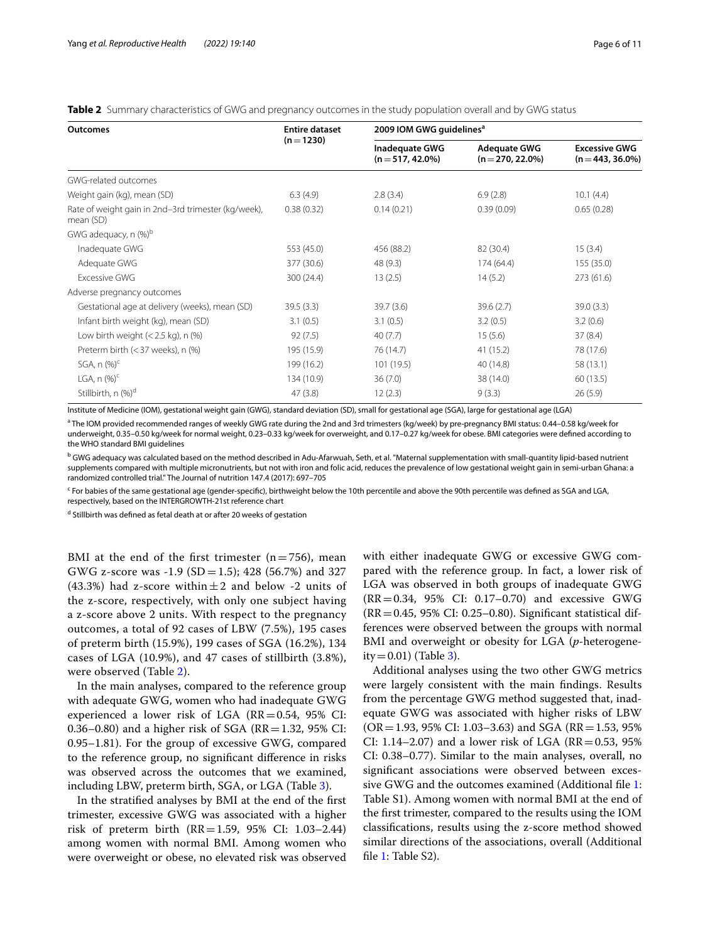<span id="page-5-0"></span>

| Table 2 Summary characteristics of GWG and pregnancy outcomes in the study population overall and by GWG status |  |  |  |
|-----------------------------------------------------------------------------------------------------------------|--|--|--|
|-----------------------------------------------------------------------------------------------------------------|--|--|--|

| Outcomes                                                         | <b>Entire dataset</b> | 2009 IOM GWG guidelines <sup>a</sup> |                                          |                                           |  |
|------------------------------------------------------------------|-----------------------|--------------------------------------|------------------------------------------|-------------------------------------------|--|
|                                                                  | $(n=1230)$            | Inadequate GWG<br>$(n=517, 42.0\%)$  | <b>Adequate GWG</b><br>$(n=270, 22.0\%)$ | <b>Excessive GWG</b><br>$(n=443, 36.0\%)$ |  |
| GWG-related outcomes                                             |                       |                                      |                                          |                                           |  |
| Weight gain (kg), mean (SD)                                      | 6.3(4.9)              | 2.8(3.4)                             | 6.9(2.8)                                 | 10.1(4.4)                                 |  |
| Rate of weight gain in 2nd-3rd trimester (kg/week),<br>mean (SD) | 0.38(0.32)            | 0.14(0.21)                           | 0.39(0.09)                               | 0.65(0.28)                                |  |
| GWG adequacy, n (%) <sup>b</sup>                                 |                       |                                      |                                          |                                           |  |
| Inadequate GWG                                                   | 553 (45.0)            | 456 (88.2)                           | 82 (30.4)                                | 15(3.4)                                   |  |
| Adequate GWG                                                     | 377 (30.6)            | 48 (9.3)                             | 174 (64.4)                               | 155(35.0)                                 |  |
| <b>Excessive GWG</b>                                             | 300 (24.4)            | 13(2.5)                              | 14(5.2)                                  | 273(61.6)                                 |  |
| Adverse pregnancy outcomes                                       |                       |                                      |                                          |                                           |  |
| Gestational age at delivery (weeks), mean (SD)                   | 39.5(3.3)             | 39.7(3.6)                            | 39.6(2.7)                                | 39.0(3.3)                                 |  |
| Infant birth weight (kg), mean (SD)                              | 3.1(0.5)              | 3.1(0.5)                             | 3.2(0.5)                                 | 3.2(0.6)                                  |  |
| Low birth weight $(< 2.5$ kg), n $%$                             | 92(7.5)               | 40(7.7)                              | 15(5.6)                                  | 37(8.4)                                   |  |
| Preterm birth (< 37 weeks), n (%)                                | 195 (15.9)            | 76 (14.7)                            | 41 (15.2)                                | 78 (17.6)                                 |  |
| SGA, $n$ (%) <sup>c</sup>                                        | 199 (16.2)            | 101 (19.5)                           | 40 (14.8)                                | 58 (13.1)                                 |  |
| LGA, $n$ $(\%)^c$                                                | 134 (10.9)            | 36(7.0)                              | 38 (14.0)                                | 60(13.5)                                  |  |
| Stillbirth, n (%) <sup>d</sup>                                   | 47(3.8)               | 12(2.3)                              | 9(3.3)                                   | 26(5.9)                                   |  |

Institute of Medicine (IOM), gestational weight gain (GWG), standard deviation (SD), small for gestational age (SGA), large for gestational age (LGA)

<sup>a</sup> The IOM provided recommended ranges of weekly GWG rate during the 2nd and 3rd trimesters (kg/week) by pre-pregnancy BMI status: 0.44–0.58 kg/week for underweight, 0.35–0.50 kg/week for normal weight, 0.23–0.33 kg/week for overweight, and 0.17–0.27 kg/week for obese. BMI categories were defned according to the WHO standard BMI guidelines

<sup>b</sup> GWG adequacy was calculated based on the method described in Adu-Afarwuah, Seth, et al. "Maternal supplementation with small-quantity lipid-based nutrient supplements compared with multiple micronutrients, but not with iron and folic acid, reduces the prevalence of low gestational weight gain in semi-urban Ghana: a randomized controlled trial." The Journal of nutrition 147.4 (2017): 697–705

<sup>c</sup> For babies of the same gestational age (gender-specific), birthweight below the 10th percentile and above the 90th percentile was defined as SGA and LGA, respectively, based on the INTERGROWTH-21st reference chart

<sup>d</sup> Stillbirth was defined as fetal death at or after 20 weeks of gestation

BMI at the end of the first trimester  $(n=756)$ , mean GWG z-score was -1.9 (SD = 1.5); 428 (56.7%) and 327 (43.3%) had z-score within  $\pm 2$  and below -2 units of the z-score, respectively, with only one subject having a z-score above 2 units. With respect to the pregnancy outcomes, a total of 92 cases of LBW (7.5%), 195 cases of preterm birth (15.9%), 199 cases of SGA (16.2%), 134 cases of LGA (10.9%), and 47 cases of stillbirth (3.8%), were observed (Table [2\)](#page-5-0).

In the main analyses, compared to the reference group with adequate GWG, women who had inadequate GWG experienced a lower risk of LGA  $(RR=0.54, 95\%$  CI: 0.36–0.80) and a higher risk of SGA ( $RR$ =1.32, 95% CI: 0.95–1.81). For the group of excessive GWG, compared to the reference group, no signifcant diference in risks was observed across the outcomes that we examined, including LBW, preterm birth, SGA, or LGA (Table [3](#page-6-0)).

In the stratifed analyses by BMI at the end of the frst trimester, excessive GWG was associated with a higher risk of preterm birth (RR=1.59, 95% CI: 1.03–2.44) among women with normal BMI. Among women who were overweight or obese, no elevated risk was observed with either inadequate GWG or excessive GWG compared with the reference group. In fact, a lower risk of LGA was observed in both groups of inadequate GWG (RR=0.34, 95% CI: 0.17–0.70) and excessive GWG  $(RR=0.45, 95\% \text{ CI: } 0.25-0.80$ ). Significant statistical differences were observed between the groups with normal BMI and overweight or obesity for LGA (*p*-heterogene $ity = 0.01$  (Table [3](#page-6-0)).

Additional analyses using the two other GWG metrics were largely consistent with the main fndings. Results from the percentage GWG method suggested that, inadequate GWG was associated with higher risks of LBW  $(OR = 1.93, 95\% \text{ CI: } 1.03 - 3.63)$  and SGA (RR = 1.53, 95%) CI: 1.14–2.07) and a lower risk of LGA ( $RR = 0.53$ ,  $95\%$ ) CI: 0.38–0.77). Similar to the main analyses, overall, no signifcant associations were observed between exces-sive GWG and the outcomes examined (Additional file [1](#page-8-0): Table S1). Among women with normal BMI at the end of the frst trimester, compared to the results using the IOM classifcations, results using the z-score method showed similar directions of the associations, overall (Additional file [1](#page-8-0): Table S2).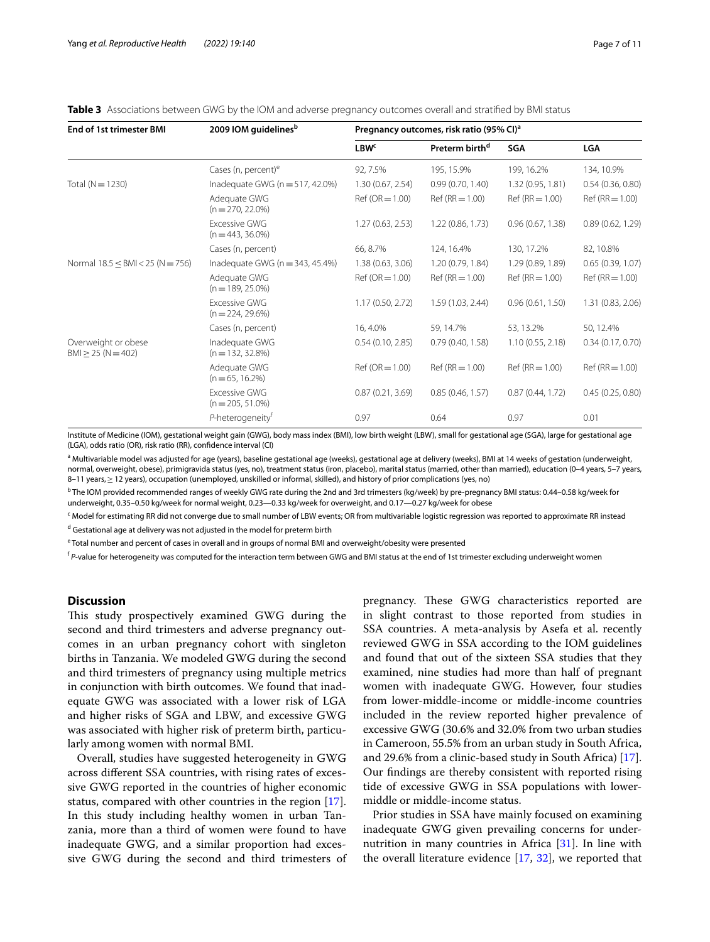<span id="page-6-0"></span>

|  |  | <b>Table 3</b> Associations between GWG by the IOM and adverse pregnancy outcomes overall and stratified by BMI status |
|--|--|------------------------------------------------------------------------------------------------------------------------|
|  |  |                                                                                                                        |

| <b>End of 1st trimester BMI</b>              | 2009 IOM guidelines <sup>b</sup>            | Pregnancy outcomes, risk ratio (95% CI) <sup>a</sup> |                            |                  |                   |
|----------------------------------------------|---------------------------------------------|------------------------------------------------------|----------------------------|------------------|-------------------|
|                                              |                                             | $L$ B $Wc$                                           | Preterm birth <sup>d</sup> | SGA              | <b>LGA</b>        |
|                                              | Cases (n, percent) <sup>e</sup>             | 92, 7.5%                                             | 195, 15.9%                 | 199, 16.2%       | 134, 10.9%        |
| Total ( $N = 1230$ )                         | Inadequate GWG ( $n = 517, 42.0\%$ )        | 1.30(0.67, 2.54)                                     | 0.99(0.70, 1.40)           | 1.32(0.95, 1.81) | 0.54(0.36, 0.80)  |
|                                              | Adequate GWG<br>$(n = 270, 22.0\%)$         | $Ref (OR = 1.00)$                                    | $Ref(RR = 1.00)$           | $Ref(RR = 1.00)$ | $Ref(RR = 1.00)$  |
|                                              | <b>Excessive GWG</b><br>$(n = 443, 36.0\%)$ | 1.27(0.63, 2.53)                                     | 1.22(0.86, 1.73)           | 0.96(0.67, 1.38) | 0.89(0.62, 1.29)  |
|                                              | Cases (n, percent)                          | 66, 8.7%                                             | 124, 16.4%                 | 130, 17.2%       | 82, 10.8%         |
| Normal $18.5 \leq BMI < 25 (N = 756)$        | Inadequate GWG ( $n = 343, 45.4\%$ )        | 1.38(0.63, 3.06)                                     | 1.20(0.79, 1.84)           | 1.29(0.89, 1.89) | 0.65(0.39, 1.07)  |
|                                              | Adequate GWG<br>$(n = 189, 25.0\%)$         | $Ref (OR = 1.00)$                                    | $Ref(RR = 1.00)$           | $Ref(RR = 1.00)$ | $Ref(RR = 1.00)$  |
|                                              | <b>Excessive GWG</b><br>$(n = 224, 29.6\%)$ | 1.17(0.50, 2.72)                                     | 1.59 (1.03, 2.44)          | 0.96(0.61, 1.50) | 1.31 (0.83, 2.06) |
|                                              | Cases (n, percent)                          | 16, 4.0%                                             | 59, 14.7%                  | 53, 13.2%        | 50, 12.4%         |
| Overweight or obese<br>$BM \ge 25 (N = 402)$ | Inadequate GWG<br>$(n = 132, 32.8\%)$       | 0.54(0.10, 2.85)                                     | 0.79(0.40, 1.58)           | 1.10(0.55, 2.18) | 0.34(0.17, 0.70)  |
|                                              | Adequate GWG<br>$(n=65, 16.2\%)$            | $Ref (OR = 1.00)$                                    | $Ref(RR = 1.00)$           | $Ref(RR = 1.00)$ | $Ref(RR = 1.00)$  |
|                                              | <b>Excessive GWG</b><br>$(n = 205, 51.0\%)$ | 0.87(0.21, 3.69)                                     | 0.85(0.46, 1.57)           | 0.87(0.44, 1.72) | 0.45(0.25, 0.80)  |
|                                              | P-heterogeneity <sup>t</sup>                | 0.97                                                 | 0.64                       | 0.97             | 0.01              |

Institute of Medicine (IOM), gestational weight gain (GWG), body mass index (BMI), low birth weight (LBW), small for gestational age (SGA), large for gestational age (LGA), odds ratio (OR), risk ratio (RR), confdence interval (CI)

<sup>a</sup> Multivariable model was adjusted for age (years), baseline gestational age (weeks), gestational age at delivery (weeks), BMI at 14 weeks of gestation (underweight, normal, overweight, obese), primigravida status (yes, no), treatment status (iron, placebo), marital status (married, other than married), education (0–4 years, 5–7 years, 8–11 years, ≥ 12 years), occupation (unemployed, unskilled or informal, skilled), and history of prior complications (yes, no)

b The IOM provided recommended ranges of weekly GWG rate during the 2nd and 3rd trimesters (kg/week) by pre-pregnancy BMI status: 0.44–0.58 kg/week for underweight, 0.35–0.50 kg/week for normal weight, 0.23—0.33 kg/week for overweight, and 0.17—0.27 kg/week for obese

c Model for estimating RR did not converge due to small number of LBW events; OR from multivariable logistic regression was reported to approximate RR instead <sup>d</sup> Gestational age at delivery was not adjusted in the model for preterm birth

e Total number and percent of cases in overall and in groups of normal BMI and overweight/obesity were presented

<sup>f</sup> *P*-value for heterogeneity was computed for the interaction term between GWG and BMI status at the end of 1st trimester excluding underweight women

## **Discussion**

This study prospectively examined GWG during the second and third trimesters and adverse pregnancy outcomes in an urban pregnancy cohort with singleton births in Tanzania. We modeled GWG during the second and third trimesters of pregnancy using multiple metrics in conjunction with birth outcomes. We found that inadequate GWG was associated with a lower risk of LGA and higher risks of SGA and LBW, and excessive GWG was associated with higher risk of preterm birth, particularly among women with normal BMI.

Overall, studies have suggested heterogeneity in GWG across diferent SSA countries, with rising rates of excessive GWG reported in the countries of higher economic status, compared with other countries in the region [\[17](#page-9-16)]. In this study including healthy women in urban Tanzania, more than a third of women were found to have inadequate GWG, and a similar proportion had excessive GWG during the second and third trimesters of

pregnancy. These GWG characteristics reported are in slight contrast to those reported from studies in SSA countries. A meta-analysis by Asefa et al. recently reviewed GWG in SSA according to the IOM guidelines and found that out of the sixteen SSA studies that they examined, nine studies had more than half of pregnant women with inadequate GWG. However, four studies from lower-middle-income or middle-income countries included in the review reported higher prevalence of excessive GWG (30.6% and 32.0% from two urban studies in Cameroon, 55.5% from an urban study in South Africa, and 29.6% from a clinic-based study in South Africa) [\[17](#page-9-16)]. Our fndings are thereby consistent with reported rising tide of excessive GWG in SSA populations with lowermiddle or middle-income status.

Prior studies in SSA have mainly focused on examining inadequate GWG given prevailing concerns for under-nutrition in many countries in Africa [[31\]](#page-10-5). In line with the overall literature evidence [[17,](#page-9-16) [32](#page-10-6)], we reported that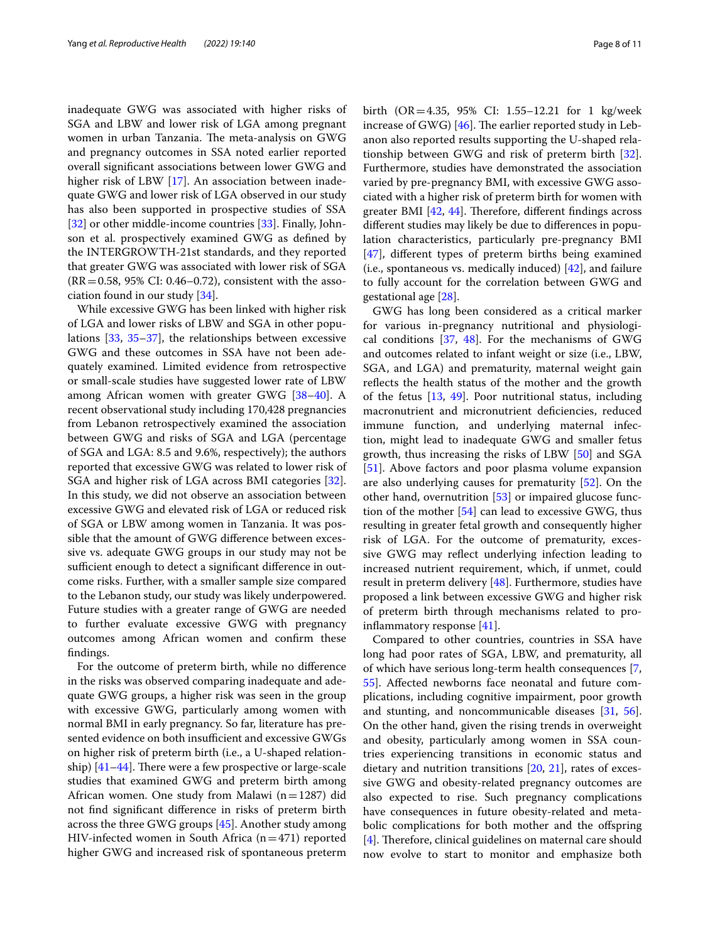inadequate GWG was associated with higher risks of SGA and LBW and lower risk of LGA among pregnant women in urban Tanzania. The meta-analysis on GWG and pregnancy outcomes in SSA noted earlier reported overall signifcant associations between lower GWG and higher risk of LBW [[17\]](#page-9-16). An association between inadequate GWG and lower risk of LGA observed in our study has also been supported in prospective studies of SSA [[32\]](#page-10-6) or other middle-income countries [\[33\]](#page-10-7). Finally, Johnson et al. prospectively examined GWG as defned by the INTERGROWTH-21st standards, and they reported that greater GWG was associated with lower risk of SGA  $(RR = 0.58, 95\% \text{ CI: } 0.46 - 0.72)$ , consistent with the association found in our study [[34\]](#page-10-8).

While excessive GWG has been linked with higher risk of LGA and lower risks of LBW and SGA in other populations [\[33,](#page-10-7) [35–](#page-10-9)[37\]](#page-10-10), the relationships between excessive GWG and these outcomes in SSA have not been adequately examined. Limited evidence from retrospective or small-scale studies have suggested lower rate of LBW among African women with greater GWG [\[38–](#page-10-11)[40\]](#page-10-12). A recent observational study including 170,428 pregnancies from Lebanon retrospectively examined the association between GWG and risks of SGA and LGA (percentage of SGA and LGA: 8.5 and 9.6%, respectively); the authors reported that excessive GWG was related to lower risk of SGA and higher risk of LGA across BMI categories [\[32](#page-10-6)]. In this study, we did not observe an association between excessive GWG and elevated risk of LGA or reduced risk of SGA or LBW among women in Tanzania. It was possible that the amount of GWG diference between excessive vs. adequate GWG groups in our study may not be sufficient enough to detect a significant difference in outcome risks. Further, with a smaller sample size compared to the Lebanon study, our study was likely underpowered. Future studies with a greater range of GWG are needed to further evaluate excessive GWG with pregnancy outcomes among African women and confrm these fndings.

For the outcome of preterm birth, while no diference in the risks was observed comparing inadequate and adequate GWG groups, a higher risk was seen in the group with excessive GWG, particularly among women with normal BMI in early pregnancy. So far, literature has presented evidence on both insufficient and excessive GWGs on higher risk of preterm birth (i.e., a U-shaped relationship)  $[41-44]$  $[41-44]$ . There were a few prospective or large-scale studies that examined GWG and preterm birth among African women. One study from Malawi  $(n=1287)$  did not fnd signifcant diference in risks of preterm birth across the three GWG groups [[45\]](#page-10-15). Another study among HIV-infected women in South Africa  $(n=471)$  reported higher GWG and increased risk of spontaneous preterm birth (OR=4.35, 95% CI: 1.55–12.21 for 1 kg/week increase of GWG)  $[46]$ . The earlier reported study in Lebanon also reported results supporting the U-shaped relationship between GWG and risk of preterm birth [\[32](#page-10-6)]. Furthermore, studies have demonstrated the association varied by pre-pregnancy BMI, with excessive GWG associated with a higher risk of preterm birth for women with greater BMI  $[42, 44]$  $[42, 44]$  $[42, 44]$  $[42, 44]$ . Therefore, different findings across diferent studies may likely be due to diferences in population characteristics, particularly pre-pregnancy BMI [[47\]](#page-10-18), diferent types of preterm births being examined (i.e., spontaneous vs. medically induced)  $[42]$  $[42]$  $[42]$ , and failure to fully account for the correlation between GWG and gestational age [\[28](#page-10-2)].

GWG has long been considered as a critical marker for various in-pregnancy nutritional and physiological conditions [\[37,](#page-10-10) [48\]](#page-10-19). For the mechanisms of GWG and outcomes related to infant weight or size (i.e., LBW, SGA, and LGA) and prematurity, maternal weight gain refects the health status of the mother and the growth of the fetus [[13](#page-9-12), [49\]](#page-10-20). Poor nutritional status, including macronutrient and micronutrient defciencies, reduced immune function, and underlying maternal infection, might lead to inadequate GWG and smaller fetus growth, thus increasing the risks of LBW [\[50](#page-10-21)] and SGA [[51\]](#page-10-22). Above factors and poor plasma volume expansion are also underlying causes for prematurity [[52\]](#page-10-23). On the other hand, overnutrition [\[53](#page-10-24)] or impaired glucose function of the mother [\[54\]](#page-10-25) can lead to excessive GWG, thus resulting in greater fetal growth and consequently higher risk of LGA. For the outcome of prematurity, excessive GWG may refect underlying infection leading to increased nutrient requirement, which, if unmet, could result in preterm delivery [\[48](#page-10-19)]. Furthermore, studies have proposed a link between excessive GWG and higher risk of preterm birth through mechanisms related to proinfammatory response [[41](#page-10-13)].

Compared to other countries, countries in SSA have long had poor rates of SGA, LBW, and prematurity, all of which have serious long-term health consequences [\[7](#page-9-6), [55\]](#page-10-26). Afected newborns face neonatal and future complications, including cognitive impairment, poor growth and stunting, and noncommunicable diseases [[31,](#page-10-5) [56](#page-10-27)]. On the other hand, given the rising trends in overweight and obesity, particularly among women in SSA countries experiencing transitions in economic status and dietary and nutrition transitions [\[20](#page-9-18), [21](#page-9-19)], rates of excessive GWG and obesity-related pregnancy outcomes are also expected to rise. Such pregnancy complications have consequences in future obesity-related and metabolic complications for both mother and the ofspring  $[4]$  $[4]$ . Therefore, clinical guidelines on maternal care should now evolve to start to monitor and emphasize both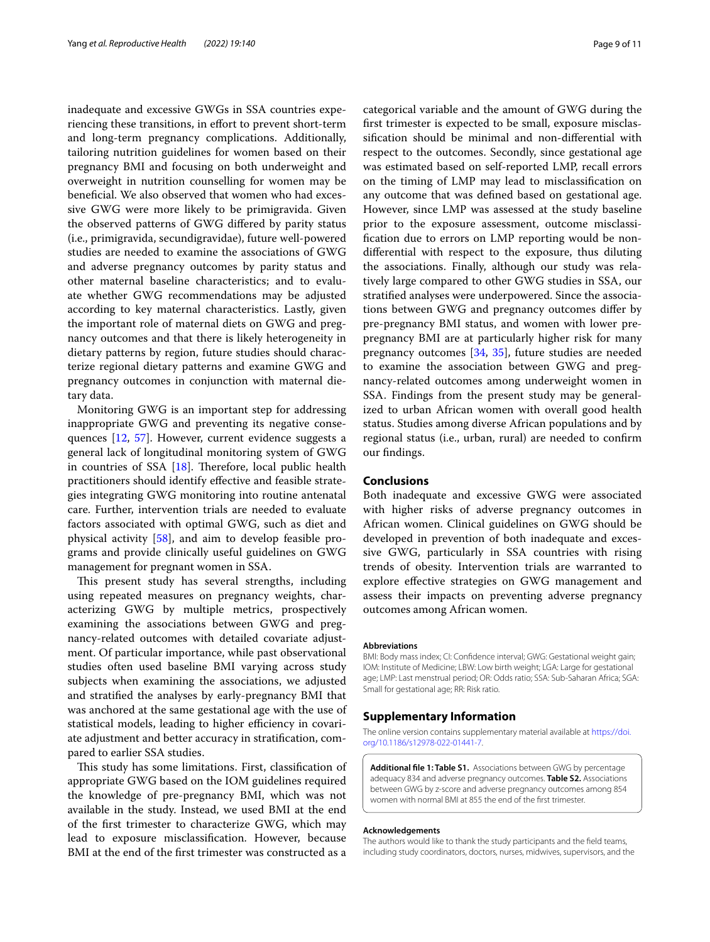inadequate and excessive GWGs in SSA countries experiencing these transitions, in efort to prevent short-term and long-term pregnancy complications. Additionally, tailoring nutrition guidelines for women based on their pregnancy BMI and focusing on both underweight and overweight in nutrition counselling for women may be benefcial. We also observed that women who had excessive GWG were more likely to be primigravida. Given the observed patterns of GWG difered by parity status (i.e., primigravida, secundigravidae), future well-powered studies are needed to examine the associations of GWG and adverse pregnancy outcomes by parity status and other maternal baseline characteristics; and to evaluate whether GWG recommendations may be adjusted according to key maternal characteristics. Lastly, given the important role of maternal diets on GWG and pregnancy outcomes and that there is likely heterogeneity in dietary patterns by region, future studies should characterize regional dietary patterns and examine GWG and pregnancy outcomes in conjunction with maternal dietary data.

Monitoring GWG is an important step for addressing inappropriate GWG and preventing its negative consequences [[12,](#page-9-11) [57\]](#page-10-28). However, current evidence suggests a general lack of longitudinal monitoring system of GWG in countries of SSA  $[18]$ . Therefore, local public health practitioners should identify efective and feasible strategies integrating GWG monitoring into routine antenatal care. Further, intervention trials are needed to evaluate factors associated with optimal GWG, such as diet and physical activity [\[58](#page-10-29)], and aim to develop feasible programs and provide clinically useful guidelines on GWG management for pregnant women in SSA.

This present study has several strengths, including using repeated measures on pregnancy weights, characterizing GWG by multiple metrics, prospectively examining the associations between GWG and pregnancy-related outcomes with detailed covariate adjustment. Of particular importance, while past observational studies often used baseline BMI varying across study subjects when examining the associations, we adjusted and stratifed the analyses by early-pregnancy BMI that was anchored at the same gestational age with the use of statistical models, leading to higher efficiency in covariate adjustment and better accuracy in stratifcation, compared to earlier SSA studies.

This study has some limitations. First, classification of appropriate GWG based on the IOM guidelines required the knowledge of pre-pregnancy BMI, which was not available in the study. Instead, we used BMI at the end of the frst trimester to characterize GWG, which may lead to exposure misclassifcation. However, because BMI at the end of the frst trimester was constructed as a categorical variable and the amount of GWG during the frst trimester is expected to be small, exposure misclassifcation should be minimal and non-diferential with respect to the outcomes. Secondly, since gestational age was estimated based on self-reported LMP, recall errors on the timing of LMP may lead to misclassifcation on any outcome that was defned based on gestational age. However, since LMP was assessed at the study baseline prior to the exposure assessment, outcome misclassifcation due to errors on LMP reporting would be nondiferential with respect to the exposure, thus diluting the associations. Finally, although our study was relatively large compared to other GWG studies in SSA, our stratifed analyses were underpowered. Since the associations between GWG and pregnancy outcomes difer by pre-pregnancy BMI status, and women with lower prepregnancy BMI are at particularly higher risk for many pregnancy outcomes [[34](#page-10-8), [35](#page-10-9)], future studies are needed to examine the association between GWG and pregnancy-related outcomes among underweight women in SSA. Findings from the present study may be generalized to urban African women with overall good health status. Studies among diverse African populations and by regional status (i.e., urban, rural) are needed to confrm our fndings.

# **Conclusions**

Both inadequate and excessive GWG were associated with higher risks of adverse pregnancy outcomes in African women. Clinical guidelines on GWG should be developed in prevention of both inadequate and excessive GWG, particularly in SSA countries with rising trends of obesity. Intervention trials are warranted to explore efective strategies on GWG management and assess their impacts on preventing adverse pregnancy outcomes among African women.

#### **Abbreviations**

BMI: Body mass index; CI: Confdence interval; GWG: Gestational weight gain; IOM: Institute of Medicine; LBW: Low birth weight; LGA: Large for gestational age; LMP: Last menstrual period; OR: Odds ratio; SSA: Sub-Saharan Africa; SGA: Small for gestational age; RR: Risk ratio.

#### **Supplementary Information**

The online version contains supplementary material available at [https://doi.](https://doi.org/10.1186/s12978-022-01441-7) [org/10.1186/s12978-022-01441-7](https://doi.org/10.1186/s12978-022-01441-7).

<span id="page-8-0"></span>**Additional fle 1: Table S1.** Associations between GWG by percentage adequacy 834 and adverse pregnancy outcomes. **Table S2.** Associations between GWG by z-score and adverse pregnancy outcomes among 854 women with normal BMI at 855 the end of the frst trimester.

#### **Acknowledgements**

The authors would like to thank the study participants and the feld teams, including study coordinators, doctors, nurses, midwives, supervisors, and the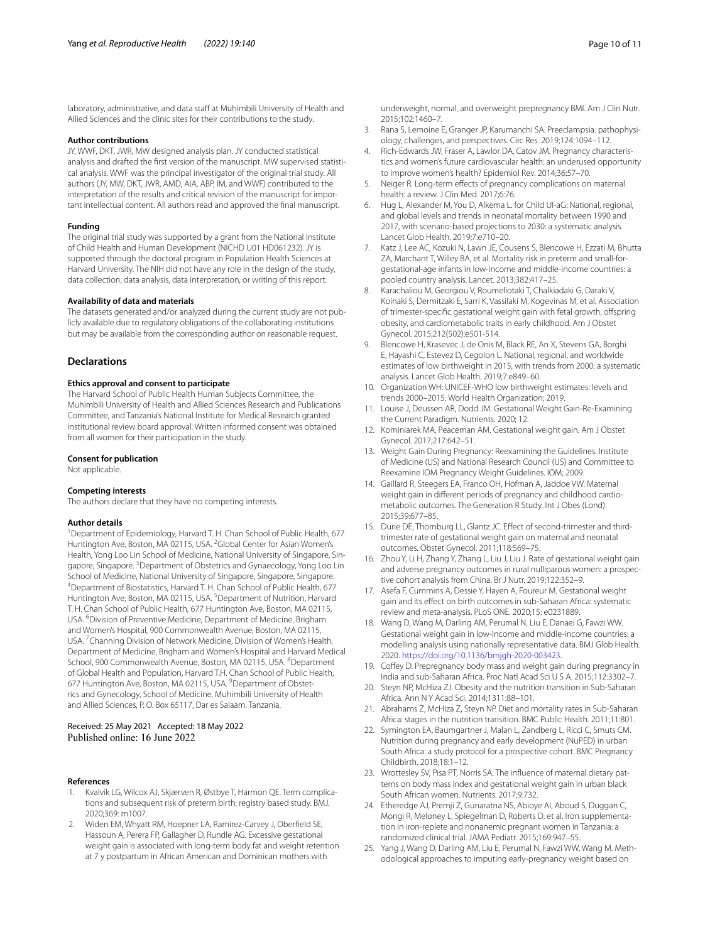laboratory, administrative, and data staff at Muhimbili University of Health and Allied Sciences and the clinic sites for their contributions to the study.

#### **Author contributions**

JY, WWF, DKT, JWR, MW designed analysis plan. JY conducted statistical analysis and drafted the first version of the manuscript. MW supervised statistical analysis. WWF was the principal investigator of the original trial study. All authors (JY, MW, DKT, JWR, AMD, AIA, ABP, IM, and WWF) contributed to the interpretation of the results and critical revision of the manuscript for important intellectual content. All authors read and approved the fnal manuscript.

#### **Funding**

The original trial study was supported by a grant from the National Institute of Child Health and Human Development (NICHD U01 HD061232). JY is supported through the doctoral program in Population Health Sciences at Harvard University. The NIH did not have any role in the design of the study, data collection, data analysis, data interpretation, or writing of this report.

#### **Availability of data and materials**

The datasets generated and/or analyzed during the current study are not publicly available due to regulatory obligations of the collaborating institutions but may be available from the corresponding author on reasonable request.

### **Declarations**

#### **Ethics approval and consent to participate**

The Harvard School of Public Health Human Subjects Committee, the Muhimbili University of Health and Allied Sciences Research and Publications Committee, and Tanzania's National Institute for Medical Research granted institutional review board approval. Written informed consent was obtained from all women for their participation in the study.

#### **Consent for publication**

Not applicable.

#### **Competing interests**

The authors declare that they have no competing interests.

#### **Author details**

<sup>1</sup> Department of Epidemiology, Harvard T. H. Chan School of Public Health, 677 Huntington Ave, Boston, MA 02115, USA. <sup>2</sup>Global Center for Asian Women's Health, Yong Loo Lin School of Medicine, National University of Singapore, Singapore, Singapore. <sup>3</sup> Department of Obstetrics and Gynaecology, Yong Loo Lin School of Medicine, National University of Singapore, Singapore, Singapore. Department of Biostatistics, Harvard T. H. Chan School of Public Health, 677 Huntington Ave, Boston, MA 02115, USA.<sup>5</sup> Department of Nutrition, Harvard T. H. Chan School of Public Health, 677 Huntington Ave, Boston, MA 02115, USA. <sup>6</sup> Division of Preventive Medicine, Department of Medicine, Brigham and Women's Hospital, 900 Commonwealth Avenue, Boston, MA 02115, USA.<sup>7</sup> Channing Division of Network Medicine, Division of Women's Health, Department of Medicine, Brigham and Women's Hospital and Harvard Medical School, 900 Commonwealth Avenue, Boston, MA 02115, USA. <sup>8</sup>Department of Global Health and Population, Harvard T.H. Chan School of Public Health, 677 Huntington Ave, Boston, MA 02115, USA. <sup>9</sup> Department of Obstetrics and Gynecology, School of Medicine, Muhimbili University of Health and Allied Sciences, P. O. Box 65117, Dar es Salaam, Tanzania.

# Received: 25 May 2021 Accepted: 18 May 2022 Published online: 16 June 2022

#### **References**

- <span id="page-9-0"></span>1. Kvalvik LG, Wilcox AJ, Skjærven R, Østbye T, Harmon QE. Term complications and subsequent risk of preterm birth: registry based study. BMJ. 2020;369: m1007.
- <span id="page-9-1"></span>2. Widen EM, Whyatt RM, Hoepner LA, Ramirez-Carvey J, Oberfeld SE, Hassoun A, Perera FP, Gallagher D, Rundle AG. Excessive gestational weight gain is associated with long-term body fat and weight retention at 7 y postpartum in African American and Dominican mothers with

underweight, normal, and overweight prepregnancy BMI. Am J Clin Nutr. 2015;102:1460–7.

- <span id="page-9-2"></span>3. Rana S, Lemoine E, Granger JP, Karumanchi SA. Preeclampsia: pathophysiology, challenges, and perspectives. Circ Res. 2019;124:1094–112.
- <span id="page-9-3"></span>4. Rich-Edwards JW, Fraser A, Lawlor DA, Catov JM. Pregnancy characteristics and women's future cardiovascular health: an underused opportunity to improve women's health? Epidemiol Rev. 2014;36:57–70.
- <span id="page-9-4"></span>5. Neiger R. Long-term effects of pregnancy complications on maternal health: a review. J Clin Med. 2017;6:76.
- <span id="page-9-5"></span>6. Hug L, Alexander M, You D, Alkema L. for Child UI-aG: National, regional, and global levels and trends in neonatal mortality between 1990 and 2017, with scenario-based projections to 2030: a systematic analysis. Lancet Glob Health. 2019;7:e710–20.
- <span id="page-9-6"></span>7. Katz J, Lee AC, Kozuki N, Lawn JE, Cousens S, Blencowe H, Ezzati M, Bhutta ZA, Marchant T, Willey BA, et al. Mortality risk in preterm and small-forgestational-age infants in low-income and middle-income countries: a pooled country analysis. Lancet. 2013;382:417–25.
- <span id="page-9-7"></span>8. Karachaliou M, Georgiou V, Roumeliotaki T, Chalkiadaki G, Daraki V, Koinaki S, Dermitzaki E, Sarri K, Vassilaki M, Kogevinas M, et al. Association of trimester-specific gestational weight gain with fetal growth, offspring obesity, and cardiometabolic traits in early childhood. Am J Obstet Gynecol. 2015;212(502):e501-514.
- <span id="page-9-8"></span>9. Blencowe H, Krasevec J, de Onis M, Black RE, An X, Stevens GA, Borghi E, Hayashi C, Estevez D, Cegolon L. National, regional, and worldwide estimates of low birthweight in 2015, with trends from 2000: a systematic analysis. Lancet Glob Health. 2019;7:e849–60.
- <span id="page-9-9"></span>10. Organization WH: UNICEF-WHO low birthweight estimates: levels and trends 2000–2015. World Health Organization; 2019.
- <span id="page-9-10"></span>11. Louise J, Deussen AR, Dodd JM: Gestational Weight Gain-Re-Examining the Current Paradigm. Nutrients. 2020; 12.
- <span id="page-9-11"></span>12. Kominiarek MA, Peaceman AM. Gestational weight gain. Am J Obstet Gynecol. 2017;217:642–51.
- <span id="page-9-12"></span>13. Weight Gain During Pregnancy: Reexamining the Guidelines. Institute of Medicine (US) and National Research Council (US) and Committee to Reexamine IOM Pregnancy Weight Guidelines. IOM; 2009.
- <span id="page-9-13"></span>14. Gaillard R, Steegers EA, Franco OH, Hofman A, Jaddoe VW. Maternal weight gain in diferent periods of pregnancy and childhood cardiometabolic outcomes. The Generation R Study. Int J Obes (Lond). 2015;39:677–85.
- <span id="page-9-14"></span>15. Durie DE, Thornburg LL, Glantz JC. Efect of second-trimester and thirdtrimester rate of gestational weight gain on maternal and neonatal outcomes. Obstet Gynecol. 2011;118:569–75.
- <span id="page-9-15"></span>16. Zhou Y, Li H, Zhang Y, Zhang L, Liu J, Liu J. Rate of gestational weight gain and adverse pregnancy outcomes in rural nulliparous women: a prospective cohort analysis from China. Br J Nutr. 2019;122:352–9.
- <span id="page-9-16"></span>17. Asefa F, Cummins A, Dessie Y, Hayen A, Foureur M. Gestational weight gain and its efect on birth outcomes in sub-Saharan Africa: systematic review and meta-analysis. PLoS ONE. 2020;15: e0231889.
- <span id="page-9-24"></span>18. Wang D, Wang M, Darling AM, Perumal N, Liu E, Danaei G, Fawzi WW. Gestational weight gain in low-income and middle-income countries: a modelling analysis using nationally representative data. BMJ Glob Health. 2020.<https://doi.org/10.1136/bmjgh-2020-003423>.
- <span id="page-9-17"></span>19. Cofey D. Prepregnancy body mass and weight gain during pregnancy in India and sub-Saharan Africa. Proc Natl Acad Sci U S A. 2015;112:3302–7.
- <span id="page-9-18"></span>20. Steyn NP, McHiza ZJ. Obesity and the nutrition transition in Sub-Saharan Africa. Ann N Y Acad Sci. 2014;1311:88–101.
- <span id="page-9-19"></span>21. Abrahams Z, McHiza Z, Steyn NP. Diet and mortality rates in Sub-Saharan Africa: stages in the nutrition transition. BMC Public Health. 2011;11:801.
- <span id="page-9-20"></span>22. Symington EA, Baumgartner J, Malan L, Zandberg L, Ricci C, Smuts CM. Nutrition during pregnancy and early development (NuPED) in urban South Africa: a study protocol for a prospective cohort. BMC Pregnancy Childbirth. 2018;18:1–12.
- <span id="page-9-21"></span>23. Wrottesley SV, Pisa PT, Norris SA. The influence of maternal dietary patterns on body mass index and gestational weight gain in urban black South African women. Nutrients. 2017;9:732.
- <span id="page-9-22"></span>24. Etheredge AJ, Premji Z, Gunaratna NS, Abioye AI, Aboud S, Duggan C, Mongi R, Meloney L, Spiegelman D, Roberts D, et al. Iron supplementation in iron-replete and nonanemic pregnant women in Tanzania: a randomized clinical trial. JAMA Pediatr. 2015;169:947–55.
- <span id="page-9-23"></span>25. Yang J, Wang D, Darling AM, Liu E, Perumal N, Fawzi WW, Wang M. Methodological approaches to imputing early-pregnancy weight based on